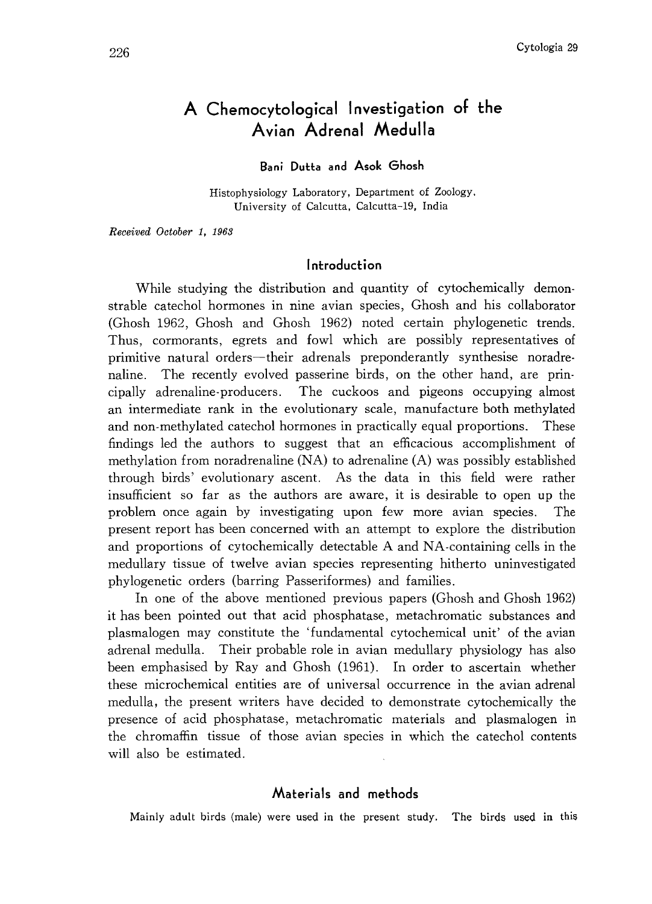# A Chemocytological Investigation of the Avian Adrenal Medulla

### Bani Dutta and Asok Ghosh

Histophysiology Laboratory, Department of Zoology, University of Calcutta, Calcutta-19, India

Received October 1, 1963

#### Introduction

While studying the distribution and quantity of cytochemically demon strable catechol hormones in nine avian species, Ghosh and his collaborator (Ghosh 1962, Ghosh and Ghosh 1962) noted certain phylogenetic trends. Thus, cormorants, egrets and fowl which are possibly representatives of primitive natural orders-their adrenals preponderantly synthesise noradre naline. The recently evolved passerine birds, on the other hand, are prin cipally adrenaline-producers. The cuckoos and pigeons occupying almost an intermediate rank in the evolutionary scale, manufacture both methylated and non-methylated catechol hormones in practically equal proportions. These findings led the authors to suggest that an efficacious accomplishment of methylation from noradrenaline (NA) to adrenaline (A) was possibly established through birds' evolutionary ascent. As the data in this field were rather insufficient so far as the authors are aware, it is desirable to open up the problem once again by investigating upon few more avian species. The present report has been concerned with an attempt to explore the distribution and proportions of cytochemically detectable A and NA-containing cells in the medullary tissue of twelve avian species representing hitherto uninvestigated phylogenetic orders (barring Passeriformes) and families.

In one of the above mentioned previous papers (Ghosh and Ghosh 1962) it has been pointed out that acid phosphatase, metachromatic substances and plasmalogen may constitute the 'fundamental cytochemical unit' of the avian adrenal medulla. Their probable role in avian medullary physiology has also been emphasised by Ray and Ghosh (1961). In order to ascertain whether these microchemical entities are of universal occurrence in the avian adrenal medulla, the present writers have decided to demonstrate cytochemically the presence of acid phosphatase, metachromatic materials and plasmalogen in the chromaffin tissue of those avian species in which the catechol contents will also be estimated.

#### Materials and methods

Mainly adult birds (male) were used in the present study. The birds used in this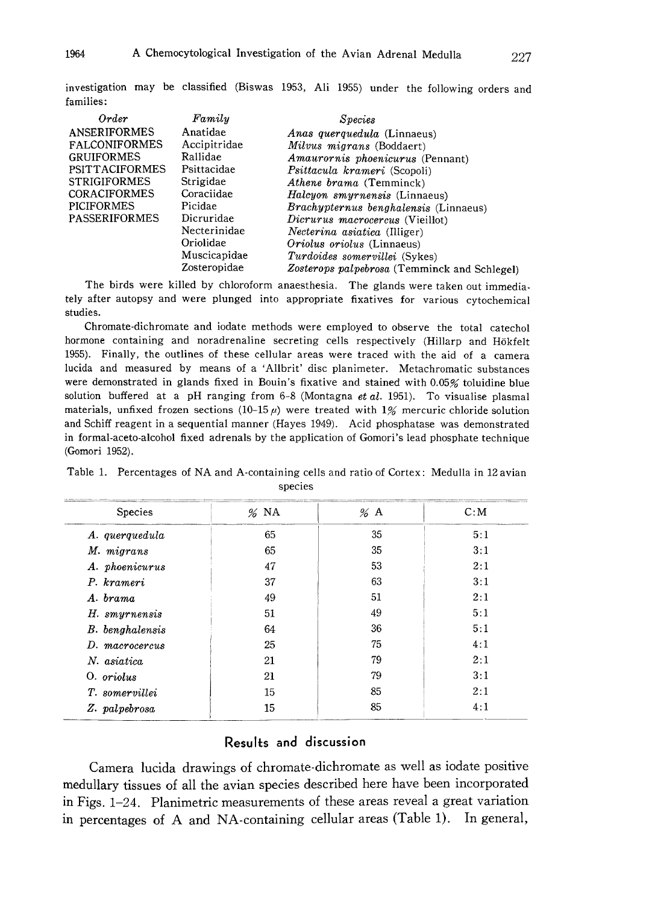| Order                 | Family       | <i>Species</i>                               |
|-----------------------|--------------|----------------------------------------------|
| <b>ANSERIFORMES</b>   | Anatidae     | <i>Anas querquedula</i> (Linnaeus)           |
| <b>FALCONIFORMES</b>  | Accipitridae | Milvus migrans (Boddaert)                    |
| <b>GRUIFORMES</b>     | Rallidae     | Amaurornis phoenicurus (Pennant)             |
| <b>PSITTACIFORMES</b> | Psittacidae  | Psittacula krameri (Scopoli)                 |
| <b>STRIGIFORMES</b>   | Strigidae    | Athene brama (Temminck)                      |
| <b>CORACIFORMES</b>   | Coraciidae   | <i>Halcyon smyrnensis</i> (Linnaeus)         |
| <b>PICIFORMES</b>     | Picidae      | <i>Brachypternus benghalensis</i> (Linnaeus) |
| <b>PASSERIFORMES</b>  | Dicruridae   | Dicrurus macrocercus (Vieillot)              |
|                       | Necterinidae | <i>Necterina asiatica</i> (Illiger)          |
|                       | Oriolidae    | <i>Oriolus oriolus</i> (Linnaeus)            |
|                       | Muscicapidae | Turdoides somervillei (Sykes)                |
|                       | Zosteropidae | Zosterops palpebrosa (Temminck and Schlegel) |

investigation may be classified (Biswas 1953, Ali 1955) under the following orders and families:

The birds were killed by chloroform anaesthesia. The glands were taken out immedia tely after autopsy and were plunged into appropriate fixatives for various cytochemical studies.

Chromate-dichromate and iodate methods were employed to observe the total catechol hormone containing and noradrenaline secreting cells respectively (Hillarp and Hokfelt 1955). Finally, the outlines of these cellular areas were traced with the aid of a camera lucida and measured by means of a 'Allbrit' disc planimeter. Metachromatic substances were demonstrated in glands fixed in Bouin's fixative and stained with 0.05% toluidine blue solution buffered at a pH ranging from  $6-8$  (Montagna et al. 1951). To visualise plasmal materials, unfixed frozen sections (10-15 $\mu$ ) were treated with 1% mercuric chloride solution and Schiff reagent in a sequential manner (Hayes 1949). Acid phosphatase was demonstrated in formal-aceto-alcohol fixed adrenals by the application of Gomori's lead phosphate technique (Gomori 1952).

| <b>Species</b>  | $%$ NA | $\%$ A | C: M |
|-----------------|--------|--------|------|
| A. querquedula  | 65     | 35     | 5:1  |
| M. migrans      | 65     | 35     | 3:1  |
| A. phoenicurus  | 47     | 53     | 2:1  |
| P. krameri      | 37     | 63     | 3:1  |
| A. brama        | 49     | 51     | 2:1  |
| H. smyrnensis   | 51     | 49     | 5:1  |
| B. benghalensis | 64     | 36     | 5:1  |
| D. macrocercus  | 25     | 75     | 4:1  |
| N. asiatica     | 21     | 79     | 2:1  |
| O. oriolus      | 21     | 79     | 3:1  |
| T. somervillei  | 15     | 85     | 2:1  |
| Z. palpebrosa   | 15     | 85     | 4:1  |

Table 1. Percentages of NA and A-containing cells and ratio of Cortex: Medulla in 12 avian species

## Results and discussion

Camera lucida drawings of chromate-dichromate as well as iodate positive medullary tissues of all the avian species described here have been incorporated in Figs. 1-24. Planimetric measurements of these areas reveal a great variation in percentages of A and NA-containing cellular areas (Table 1). In general,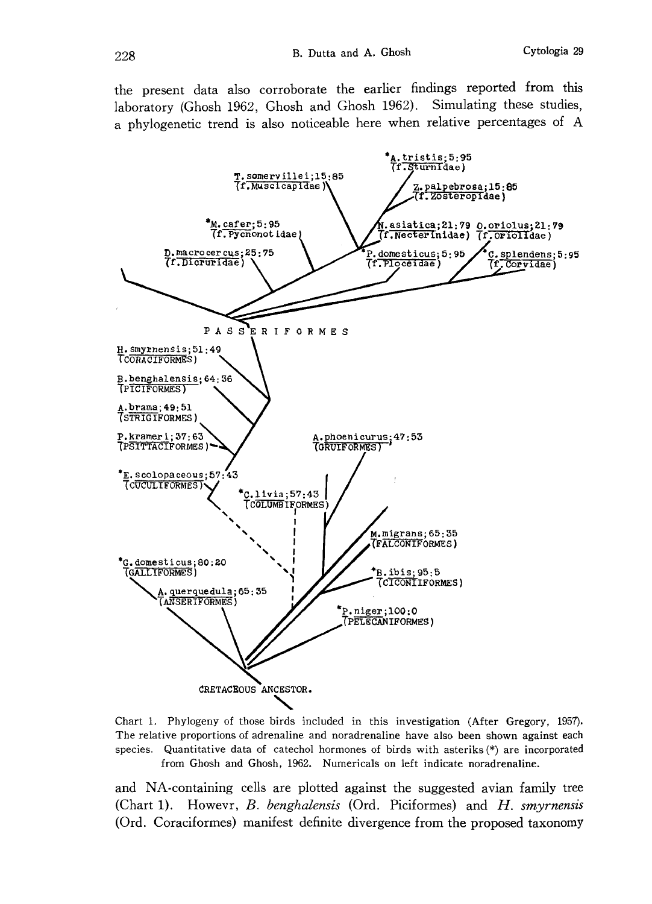the present data also corroborate the earlier findings reported from this laboratory (Ghosh 1962, Ghosh and Ghosh 1962). Simulating these studies, a phylogenetic trend is also noticeable here when relative percentages of A



Chart 1. Phylogeny of those birds included in this investigation (After Gregory, 1957). The relative proportions of adrenaline and noradrenaline have also been shown against each species. Quantitative data of catechol hormones of birds with asteriks (\*) are incorporated from Ghosh and Ghosh, 1962. Numericals on left indicate noradrenaline.

and NA-containing cells are plotted against the suggested avian family tree (Chart 1). Howevr, B. benghalensis (Ord. Piciformes) and  $H$ . smyrnensis (Ord. Coraciformes) manifest definite divergence from the proposed taxonomy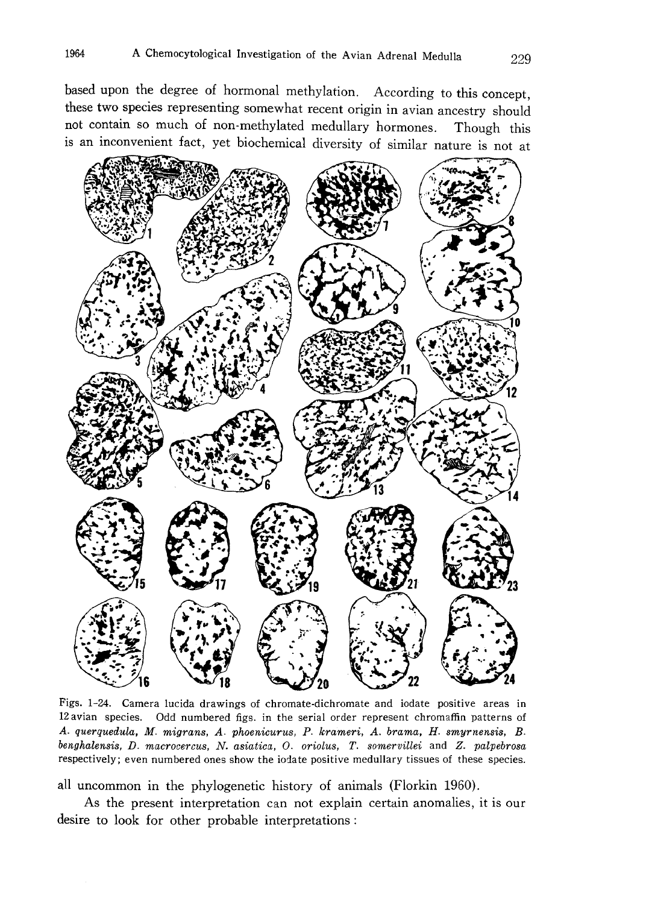based upon the degree of hormonal methylation. According to this concept , these two species representing somewhat recent origin in avian ancestry should not contain so much of non-methylated medullary hormones. Though this is an inconvenient fact, yet biochemical diversity of similar nature is not at



Figs. 1-24. Camera lucida drawings of chromate-dichromate and iodate positive areas in 12 avian species. Odd numbered figs. in the serial order represent chromaffin patterns of A. querquedula, M. migrans, A. phoenicurus, P. krameri, A. brama, H. smyrnensis, B. benghalensis, D. macrocercus, N. asiatica, O. oriolus, T. somervillei and Z. palpebrosa respectively; even numbered ones show the iodate positive medullary tissues of these species.

all uncommon in the phylogenetic history of animals (Florkin 1960).

As the present interpretation can not explain certain anomalies, it is our desire to look for other probable interpretations: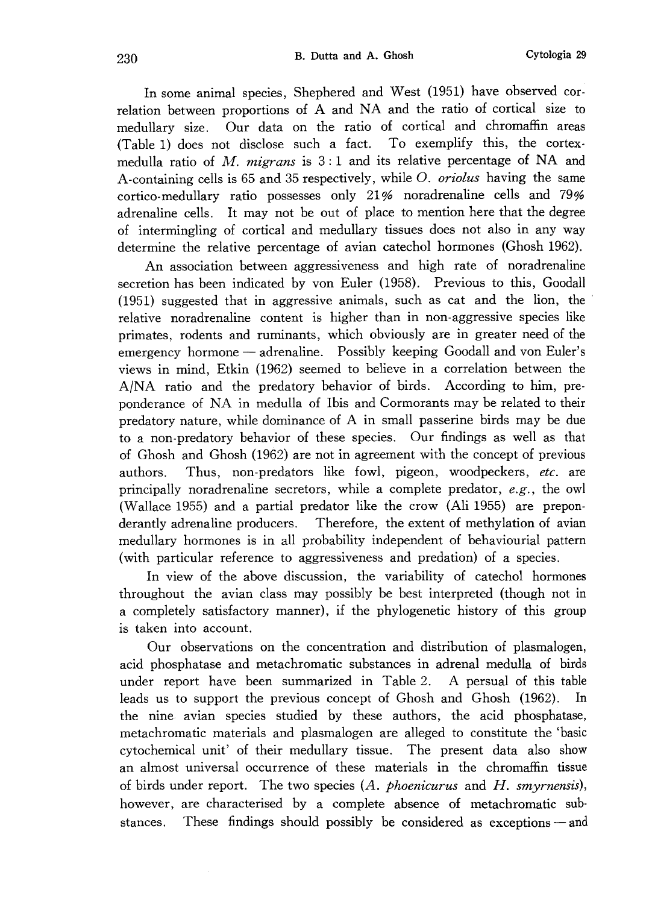In some animal species, Shephered and West (1951) have observed cor relation between proportions of A and NA and the ratio of cortical size to medullary size. Our data on the ratio of cortical and chromaffin areas (Table 1) does not disclose such a fact. To exemplify this, the cortex medulla ratio of M. migrans is  $3:1$  and its relative percentage of NA and A-containing cells is 65 and 35 respectively, while O. oriolus having the same cortico-medullary ratio possesses only 21% noradrenaline cells and 79% adrenaline cells. It may not be out of place to mention here that the degree of intermingling of cortical and medullary tissues does not also in any way determine the relative percentage of avian catechol hormones (Ghosh 1962).

An association between aggressiveness and high rate of noradrenaline secretion has been indicated by von Euler (1958). Previous to this, Goodall (1951) suggested that in aggressive animals, such as cat and the lion, the relative noradrenaline content is higher than in non-aggressive species like primates, rodents and ruminants, which obviously are in greater need of the emergency hormone — adrenaline. Possibly keeping Goodall and von Euler's views in mind, Etkin (1962) seemed to believe in a correlation between the A/NA ratio and the predatory behavior of birds. According to him, pre ponderance of NA in medulla of Ibis and Cormorants may be related to their predatory nature, while dominance of A in small passerine birds may be due to a non-predatory behavior of these species. Our findings as well as that of Ghosh and Ghosh (1962) are not in agreement with the concept of previous authors. Thus, non-predators like fowl, pigeon, woodpeckers, etc. are principally noradrenaline secretors, while a complete predator,  $e.g.,$  the owl (Wallace 1955) and a partial predator like the crow (Ali 1955) are prepon derantly adrenaline producers. Therefore, the extent of methylation of avian medullary hormones is in all probability independent of behaviourial pattern (with particular reference to aggressiveness and predation) of a species.

In view of the above discussion, the variability of catechol hormones throughout the avian class may possibly be best interpreted (though not in a completely satisfactory manner), if the phylogenetic history of this group is taken into account.

Our observations on the concentration and distribution of plasmalogen, acid phosphatase and metachromatic substances in adrenal medulla of birds under report have been summarized in Table 2. A persual of this table leads us to support the previous concept of Ghosh and Ghosh (1962). In the nine avian species studied by these authors, the acid phosphatase, metachromatic materials and plasmalogen are alleged to constitute the 'basic cytochemical unit' of their medullary tissue. The present data also show an almost universal occurrence of these materials in the chromaffin tissue of birds under report. The two species  $(A, p \text{hoenicurus} \text{ and } H, \text{ amyrnensis}),$ however, are characterised by a complete absence of metachromatic sub stances. These findings should possibly be considered as exceptions – and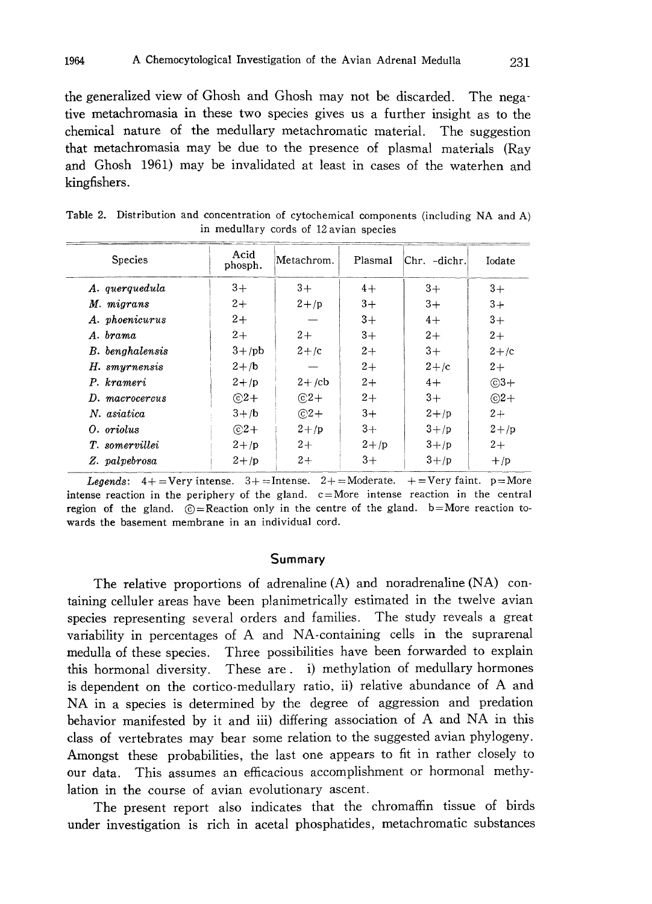the generalized view of Ghosh and Ghosh may not be discarded. The nega tive metachromasia in these two species gives us a further insight as to the chemical nature of the medullary metachromatic material. The suggestion that metachromasia may be due to the presence of plasmal materials (Ray and Ghosh 1961) may be invalidated at least in cases of the waterhen and kingfishers.

| <b>Species</b>  | Acid<br>phosph. | Metachrom. | Plasmal | $Chr. -dicht.$ | Iodate     |
|-----------------|-----------------|------------|---------|----------------|------------|
| A. querquedula  | $3+$            | $3+$       | $4+$    | $3+$           | $3+$       |
| M. migrans      | $2+$            | $2 + p$    | $3+$    | $3+$           | $3+$       |
| A. phoenicurus  | $2+$            |            | $3+$    | $4+$           | $3+$       |
| A. brama        | $2+$            | $2+$       | $3+$    | $2+$           | $2+$       |
| B. benghalensis | $3 + /pb$       | $2 + c$    | $2+$    | $3+$           | $2+/c$     |
| H. smyrnensis   | $2 +/b$         |            | $2+$    | $2 + c$        | $2+$       |
| P. krameri      | $2+$ /p         | $2 + /cb$  | $2+$    | $4+$           | $\odot$ 3+ |
| D. macrocercus  | $@2+$           | $@2+$      | $2+$    | $3+$           | $\odot$ 2+ |
| N. asiatica     | $3 + /b$        | $\odot$ 2+ | $3+$    | $2 + p$        | $2+$       |
| O. oriolus      | $\odot$ 2+      | $2 + p$    | $3+$    | $3 + p$        | $2 + /p$   |
| T. somervillei  | $2 + p$         | $2+$       | $2 + p$ | $3 + p$        | $2+$       |
| Z. palvebrosa   | $2 + p$         | $2+$       | $3+$    | $3 + p$        | $+$ /p     |

Table 2. Distribution and concentration of cytochemical components (including NA and A) in medullary cords of 12 avian species

Legends:  $4+$  = Very intense.  $3+$  = Intense.  $2+$  = Moderate.  $+$  = Very faint. p= More intense reaction in the periphery of the gland.  $c=$ More intense reaction in the central region of the gland.  $\odot$ =Reaction only in the centre of the gland. b=More reaction towards the basement membrane in an individual cord.

## Summary

The relative proportions of adrenaline (A) and noradrenaline (NA) con taining celluler areas have been planimetrically estimated in the twelve avian species representing several orders and families. The study reveals a great variability in percentages of A and NA-containing cells in the suprarenal medulla of these species. Three possibilities have been forwarded to explain this hormonal diversity. These are. i) methylation of medullary hormones is dependent on the cortico-medullary ratio, ii) relative abundance of A and NA in a species is determined by the degree of aggression and predation behavior manifested by it and iii) differing association of A and NA in this class of vertebrates may bear some relation to the suggested avian phylogeny. Amongst these probabilities, the last one appears to fit in rather closely to our data. This assumes an efficacious accomplishment or hormonal methy lation in the course of avian evolutionary ascent.

The present report also indicates that the chromaffin tissue of birds under investigation is rich in acetal phosphatides, metachromatic substances